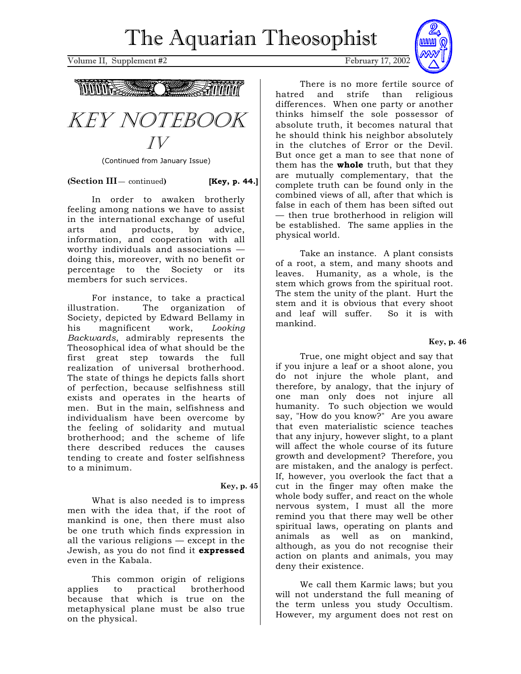Volume II, Supplement #2 February 17, 2002





(Continued from January Issue)

**(Section III** $-$  continued) **[Key, p. 44.]** 

In order to awaken brotherly feeling among nations we have to assist in the international exchange of useful arts and products, by advice, information, and cooperation with all worthy individuals and associations doing this, moreover, with no benefit or percentage to the Society or its members for such services.

For instance, to take a practical illustration. The organization of Society, depicted by Edward Bellamy in his magnificent work, *Looking Backwards*, admirably represents the Theosophical idea of what should be the first great step towards the full realization of universal brotherhood. The state of things he depicts falls short of perfection, because selfishness still exists and operates in the hearts of men. But in the main, selfishness and individualism have been overcome by the feeling of solidarity and mutual brotherhood; and the scheme of life there described reduces the causes tending to create and foster selfishness to a minimum.

# **Key, p. 45**

What is also needed is to impress men with the idea that, if the root of mankind is one, then there must also be one truth which finds expression in all the various religions — except in the Jewish, as you do not find it **expressed**  even in the Kabala.

This common origin of religions applies to practical brotherhood because that which is true on the metaphysical plane must be also true on the physical.



There is no more fertile source of hatred and strife than religious differences. When one party or another thinks himself the sole possessor of absolute truth, it becomes natural that he should think his neighbor absolutely in the clutches of Error or the Devil. But once get a man to see that none of them has the **whole** truth, but that they are mutually complementary, that the complete truth can be found only in the combined views of all, after that which is false in each of them has been sifted out — then true brotherhood in religion will be established. The same applies in the physical world.

Take an instance. A plant consists of a root, a stem, and many shoots and leaves. Humanity, as a whole, is the stem which grows from the spiritual root. The stem the unity of the plant. Hurt the stem and it is obvious that every shoot and leaf will suffer. So it is with mankind.

# **Key, p. 46**

True, one might object and say that if you injure a leaf or a shoot alone, you do not injure the whole plant, and therefore, by analogy, that the injury of one man only does not injure all humanity. To such objection we would say, "How do you know?" Are you aware that even materialistic science teaches that any injury, however slight, to a plant will affect the whole course of its future growth and development? Therefore, you are mistaken, and the analogy is perfect. If, however, you overlook the fact that a cut in the finger may often make the whole body suffer, and react on the whole nervous system, I must all the more remind you that there may well be other spiritual laws, operating on plants and animals as well as on mankind, although, as you do not recognise their action on plants and animals, you may deny their existence.

We call them Karmic laws; but you will not understand the full meaning of the term unless you study Occultism. However, my argument does not rest on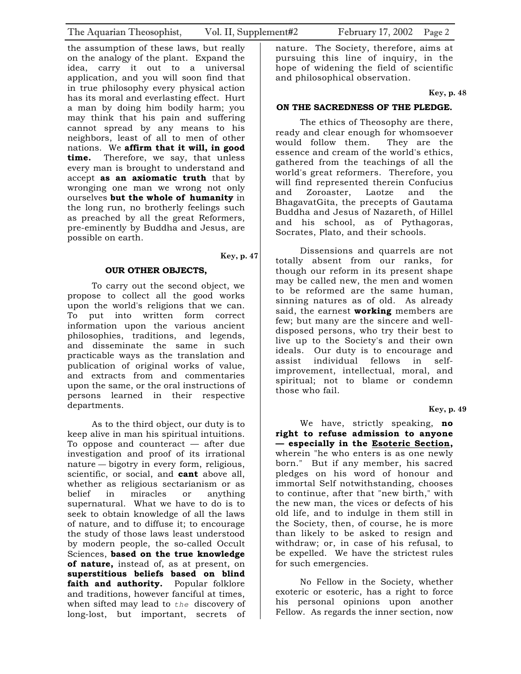the assumption of these laws, but really on the analogy of the plant. Expand the idea, carry it out to a universal application, and you will soon find that in true philosophy every physical action has its moral and everlasting effect. Hurt a man by doing him bodily harm; you may think that his pain and suffering cannot spread by any means to his neighbors, least of all to men of other nations. We **affirm that it will, in good time.** Therefore, we say, that unless every man is brought to understand and accept **as an axiomatic truth** that by wronging one man we wrong not only ourselves **but the whole of humanity** in the long run, no brotherly feelings such as preached by all the great Reformers, pre-eminently by Buddha and Jesus, are possible on earth.

#### **Key, p. 47**

#### **OUR OTHER OBJECTS,**

To carry out the second object, we propose to collect all the good works upon the world's religions that we can. To put into written form correct information upon the various ancient philosophies, traditions, and legends, and disseminate the same in such practicable ways as the translation and publication of original works of value, and extracts from and commentaries upon the same, or the oral instructions of persons learned in their respective departments.

As to the third object, our duty is to keep alive in man his spiritual intuitions. To oppose and counteract — after due investigation and proof of its irrational nature — bigotry in every form, religious, scientific, or social, and **cant** above all, whether as religious sectarianism or as belief in miracles or anything supernatural. What we have to do is to seek to obtain knowledge of all the laws of nature, and to diffuse it; to encourage the study of those laws least understood by modern people, the so-called Occult Sciences, **based on the true knowledge of nature,** instead of, as at present, on **superstitious beliefs based on blind**  faith and authority. Popular folklore and traditions, however fanciful at times, when sifted may lead to *the* discovery of long-lost, but important, secrets of

nature. The Society, therefore, aims at pursuing this line of inquiry, in the hope of widening the field of scientific and philosophical observation.

 **Key, p. 48** 

### **ON THE SACREDNESS OF THE PLEDGE.**

The ethics of Theosophy are there, ready and clear enough for whomsoever would follow them. They are the essence and cream of the world's ethics, gathered from the teachings of all the world's great reformers. Therefore, you will find represented therein Confucius and Zoroaster, Laotze and the BhagavatGita, the precepts of Gautama Buddha and Jesus of Nazareth, of Hillel and his school, as of Pythagoras, Socrates, Plato, and their schools.

Dissensions and quarrels are not totally absent from our ranks, for though our reform in its present shape may be called new, the men and women to be reformed are the same human, sinning natures as of old. As already said, the earnest **working** members are few; but many are the sincere and welldisposed persons, who try their best to live up to the Society's and their own ideals. Our duty is to encourage and assist individual fellows in selfimprovement, intellectual, moral, and spiritual; not to blame or condemn those who fail.

 **Key, p. 49** 

We have, strictly speaking, **no right to refuse admission to anyone — especially in the Esoteric Section,**  wherein "he who enters is as one newly born." But if any member, his sacred pledges on his word of honour and immortal Self notwithstanding, chooses to continue, after that "new birth," with the new man, the vices or defects of his old life, and to indulge in them still in the Society, then, of course, he is more than likely to be asked to resign and withdraw; or, in case of his refusal, to be expelled. We have the strictest rules for such emergencies.

No Fellow in the Society, whether exoteric or esoteric, has a right to force his personal opinions upon another Fellow. As regards the inner section, now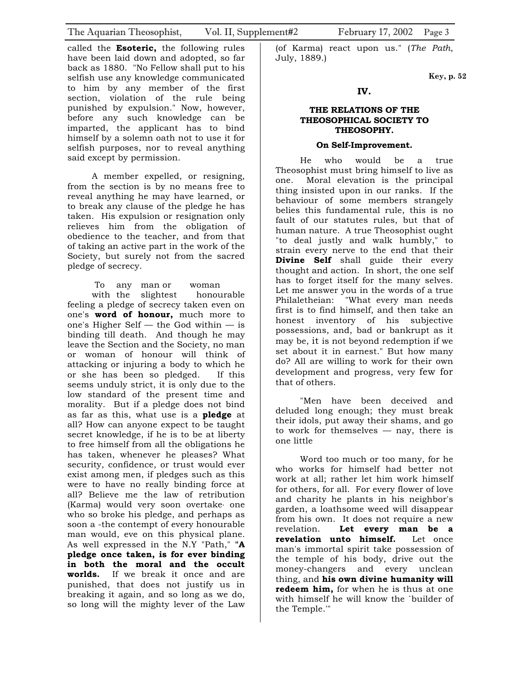called the **Esoteric,** the following rules have been laid down and adopted, so far back as 1880. "No Fellow shall put to his selfish use any knowledge communicated to him by any member of the first section, violation of the rule being punished by expulsion." Now, however, before any such knowledge can be imparted, the applicant has to bind himself by a solemn oath not to use it for selfish purposes, nor to reveal anything said except by permission.

A member expelled, or resigning, from the section is by no means free to reveal anything he may have learned, or to break any clause of the pledge he has taken. His expulsion or resignation only relieves him from the obligation of obedience to the teacher, and from that of taking an active part in the work of the Society, but surely not from the sacred pledge of secrecy.

 To any man or woman with the slightest honourable feeling a pledge of secrecy taken even on one's **word of honour,** much more to one's Higher Self — the God within — is binding till death. And though he may leave the Section and the Society, no man or woman of honour will think of attacking or injuring a body to which he or she has been so pledged. If this seems unduly strict, it is only due to the low standard of the present time and morality. But if a pledge does not bind as far as this, what use is a **pledge** at all? How can anyone expect to be taught secret knowledge, if he is to be at liberty to free himself from all the obligations he has taken, whenever he pleases? What security, confidence, or trust would ever exist among men, if pledges such as this were to have no really binding force at all? Believe me the law of retribution (Karma) would very soon overtake, one who so broke his pledge, and perhaps as soon a -the contempt of every honourable man would, eve on this physical plane. As well expressed in the N.Y "Path," **"A pledge once taken, is for ever binding in both the moral and the occult worlds.** If we break it once and are punished, that does not justify us in breaking it again, and so long as we do, so long will the mighty lever of the Law

(of Karma) react upon us." (*The Path*, July, 1889.)

 **Key, p. 52** 

## **IV.**

# **THE RELATIONS OF THE THEOSOPHICAL SOCIETY TO THEOSOPHY.**

# **On Self-Improvement.**

He who would be a true Theosophist must bring himself to live as one. Moral elevation is the principal thing insisted upon in our ranks. If the behaviour of some members strangely belies this fundamental rule, this is no fault of our statutes rules, but that of human nature. A true Theosophist ought "to deal justly and walk humbly," to strain every nerve to the end that their **Divine Self** shall guide their every thought and action. In short, the one self has to forget itself for the many selves. Let me answer you in the words of a true Philaletheian: "What every man needs first is to find himself, and then take an honest inventory of his subjective possessions, and, bad or bankrupt as it may be, it is not beyond redemption if we set about it in earnest." But how many do? All are willing to work for their own development and progress, very few for that of others.

"Men have been deceived and deluded long enough; they must break their idols, put away their shams, and go to work for themselves — nay, there is one little

Word too much or too many, for he who works for himself had better not work at all; rather let him work himself for others, for all. For every flower of love and charity he plants in his neighbor's garden, a loathsome weed will disappear from his own. It does not require a new revelation. **Let every man be a revelation unto himself.** Let once man's immortal spirit take possession of the temple of his body, drive out the money-changers and every unclean thing, and **his own divine humanity will redeem him,** for when he is thus at one with himself he will know the `builder of the Temple.'"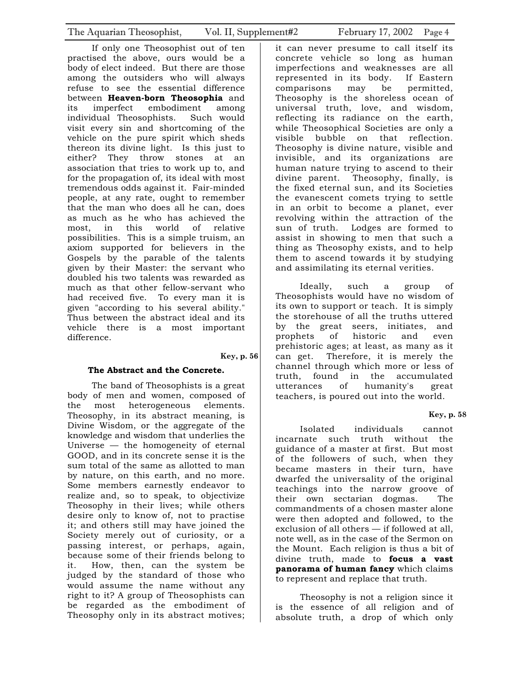If only one Theosophist out of ten practised the above, ours would be a body of elect indeed. But there are those among the outsiders who will always refuse to see the essential difference between **Heaven-born Theosophia** and its imperfect embodiment among individual Theosophists. Such would visit every sin and shortcoming of the vehicle on the pure spirit which sheds thereon its divine light. Is this just to either? They throw stones at an association that tries to work up to, and for the propagation of, its ideal with most tremendous odds against it. Fair-minded people, at any rate, ought to remember that the man who does all he can, does as much as he who has achieved the most, in this world of relative possibilities. This is a simple truism, an axiom supported for believers in the Gospels by the parable of the talents given by their Master: the servant who doubled his two talents was rewarded as much as that other fellow-servant who had received five. To every man it is given "according to his several ability." Thus between the abstract ideal and its vehicle there is a most important difference.

#### **Key, p. 56**

# **The Abstract and the Concrete.**

The band of Theosophists is a great body of men and women, composed of the most heterogeneous elements. Theosophy, in its abstract meaning, is Divine Wisdom, or the aggregate of the knowledge and wisdom that underlies the Universe — the homogeneity of eternal GOOD, and in its concrete sense it is the sum total of the same as allotted to man by nature, on this earth, and no more. Some members earnestly endeavor to realize and, so to speak, to objectivize Theosophy in their lives; while others desire only to know of, not to practise it; and others still may have joined the Society merely out of curiosity, or a passing interest, or perhaps, again, because some of their friends belong to it. How, then, can the system be judged by the standard of those who would assume the name without any right to it? A group of Theosophists can be regarded as the embodiment of Theosophy only in its abstract motives;

it can never presume to call itself its concrete vehicle so long as human imperfections and weaknesses are all represented in its body. If Eastern comparisons may be permitted, Theosophy is the shoreless ocean of universal truth, love, and wisdom, reflecting its radiance on the earth, while Theosophical Societies are only a visible bubble on that reflection. Theosophy is divine nature, visible and invisible, and its organizations are human nature trying to ascend to their divine parent. Theosophy, finally, is the fixed eternal sun, and its Societies the evanescent comets trying to settle in an orbit to become a planet, ever revolving within the attraction of the sun of truth. Lodges are formed to assist in showing to men that such a thing as Theosophy exists, and to help them to ascend towards it by studying and assimilating its eternal verities.

Ideally, such a group of Theosophists would have no wisdom of its own to support or teach. It is simply the storehouse of all the truths uttered by the great seers, initiates, and prophets of historic and even prehistoric ages; at least, as many as it can get. Therefore, it is merely the channel through which more or less of truth, found in the accumulated utterances of humanity's great teachers, is poured out into the world.

# **Key, p. 58**

Isolated individuals cannot incarnate such truth without the guidance of a master at first. But most of the followers of such, when they became masters in their turn, have dwarfed the universality of the original teachings into the narrow groove of their own sectarian dogmas. The commandments of a chosen master alone were then adopted and followed, to the exclusion of all others — if followed at all, note well, as in the case of the Sermon on the Mount. Each religion is thus a bit of divine truth, made to **focus a vast panorama of human fancy** which claims to represent and replace that truth.

Theosophy is not a religion since it is the essence of all religion and of absolute truth, a drop of which only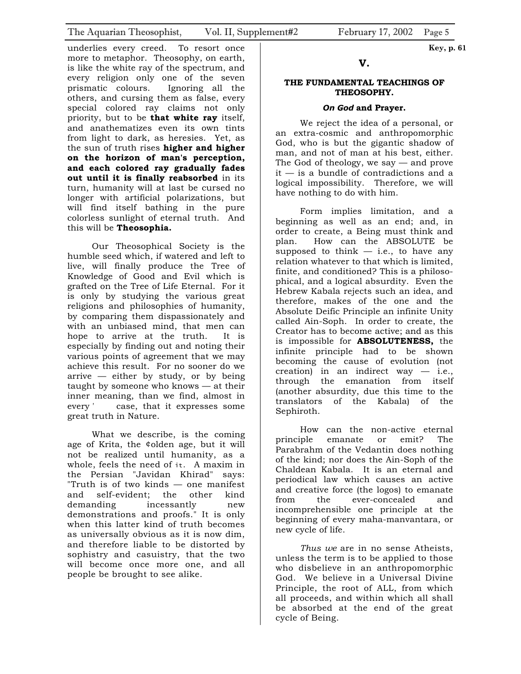underlies every creed. To resort once more to metaphor. Theosophy, on earth, is like the white ray of the spectrum, and every religion only one of the seven prismatic colours. Ignoring all the others, and cursing them as false, every special colored ray claims not only priority, but to be **that white ray** itself, and anathematizes even its own tints from light to dark, as heresies. Yet, as the sun of truth rises **higher and higher on the horizon of man's perception, and each colored ray gradually fades out until it is finally reabsorbed** in its turn, humanity will at last be cursed no longer with artificial polarizations, but will find itself bathing in the pure colorless sunlight of eternal truth. And this will be **Theosophia.** 

Our Theosophical Society is the humble seed which, if watered and left to live, will finally produce the Tree of Knowledge of Good and Evil which is grafted on the Tree of Life Eternal. For it is only by studying the various great religions and philosophies of humanity, by comparing them dispassionately and with an unbiased mind, that men can hope to arrive at the truth. It is especially by finding out and noting their various points of agreement that we may achieve this result. For no sooner do we arrive  $-$  either by study, or by being taught by someone who knows — at their inner meaning, than we find, almost in every ' case, that it expresses some great truth in Nature.

What we describe, is the coming age of Krita, the ¢olden age, but it will not be realized until humanity, as a whole, feels the need of it. A maxim in the Persian "Javidan Khirad" says: "Truth is of two kinds — one manifest and self-evident; the other kind demanding incessantly new demonstrations and proofs." It is only when this latter kind of truth becomes as universally obvious as it is now dim, and therefore liable to be distorted by sophistry and casuistry, that the two will become once more one, and all people be brought to see alike.

# **THE FUNDAMENTAL TEACHINGS OF THEOSOPHY.**

#### *On God* **and Prayer.**

We reject the idea of a personal, or an extra-cosmic and anthropomorphic God, who is but the gigantic shadow of man, and not of man at his best, either. The God of theology, we say — and prove it — is a bundle of contradictions and a logical impossibility. Therefore, we will have nothing to do with him.

Form implies limitation, and a beginning as well as an end; and, in order to create, a Being must think and plan. How can the ABSOLUTE be supposed to think  $-$  i.e., to have any relation whatever to that which is limited, finite, and conditioned? This is a philosophical, and a logical absurdity. Even the Hebrew Kabala rejects such an idea, and therefore, makes of the one and the Absolute Deific Principle an infinite Unity called Ain-Soph. In order to create, the Creator has to become active; and as this is impossible for **ABSOLUTENESS,** the infinite principle had to be shown becoming the cause of evolution (not creation) in an indirect way  $-$  i.e., through the emanation from itself (another absurdity, due this time to the translators of the Kabala) of the Sephiroth.

How can the non-active eternal principle emanate or emit? The Parabrahm of the Vedantin does nothing of the kind; nor does the Ain-Soph of the Chaldean Kabala. It is an eternal and periodical law which causes an active and creative force (the logos) to emanate from the ever-concealed and incomprehensible one principle at the beginning of every maha-manvantara, or new cycle of life.

*Thus we* are in no sense Atheists, unless the term is to be applied to those who disbelieve in an anthropomorphic God. We believe in a Universal Divine Principle, the root of ALL, from which all proceeds, and within which all shall be absorbed at the end of the great cycle of Being.

 **Key, p. 61**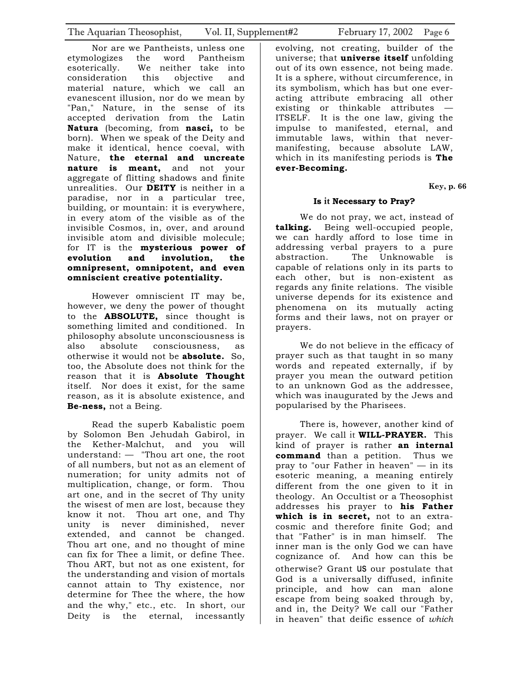Nor are we Pantheists, unless one etymologizes the word Pantheism esoterically. We neither take into consideration this objective and material nature, which we call an evanescent illusion, nor do we mean by "Pan," Nature, in the sense of its accepted derivation from the Latin **Natura** (becoming, from **nasci,** to be born). When we speak of the Deity and make it identical, hence coeval, with Nature, **the eternal and uncreate nature is meant,** and not your aggregate of flitting shadows and finite unrealities. Our **DEITY** is neither in a paradise, nor in a particular tree, building, or mountain: it is everywhere, in every atom of the visible as of the invisible Cosmos, in, over, and around invisible atom and divisible molecule; for IT is the **mysterious power of evolution and involution, the omnipresent, omnipotent, and even omniscient creative potentiality.** 

However omniscient IT may be, however, we deny the power of thought to the **ABSOLUTE,** since thought is something limited and conditioned. In philosophy absolute unconsciousness is also absolute consciousness, as otherwise it would not be **absolute.** So, too, the Absolute does not think for the reason that it is **Absolute Thought**  itself. Nor does it exist, for the same reason, as it is absolute existence, and **Be-ness,** not a Being.

Read the superb Kabalistic poem by Solomon Ben Jehudah Gabirol, in the Kether-Malchut, and you will understand: — "Thou art one, the root of all numbers, but not as an element of numeration; for unity admits not of multiplication, change, or form. Thou art one, and in the secret of Thy unity the wisest of men are lost, because they know it not. Thou art one, and Thy unity is never diminished, never extended, and cannot be changed. Thou art one, and no thought of mine can fix for Thee a limit, or define Thee. Thou ART, but not as one existent, for the understanding and vision of mortals cannot attain to Thy existence, nor determine for Thee the where, the how and the why," etc., etc. In short, our Deity is the eternal, incessantly

evolving, not creating, builder of the universe; that **universe itself** unfolding out of its own essence, not being made. It is a sphere, without circumference, in its symbolism, which has but one everacting attribute embracing all other existing or thinkable attributes — ITSELF. It is the one law, giving the impulse to manifested, eternal, and immutable laws, within that nevermanifesting, because absolute LAW, which in its manifesting periods is **The ever-Becoming.** 

 **Key, p. 66** 

# **Is it Necessary to Pray?**

We do not pray, we act, instead of **talking.** Being well-occupied people, we can hardly afford to lose time in addressing verbal prayers to a pure abstraction. The Unknowable is capable of relations only in its parts to each other, but is non-existent as regards any finite relations. The visible universe depends for its existence and phenomena on its mutually acting forms and their laws, not on prayer or prayers.

We do not believe in the efficacy of prayer such as that taught in so many words and repeated externally, if by prayer you mean the outward petition to an unknown God as the addressee, which was inaugurated by the Jews and popularised by the Pharisees.

There is, however, another kind of prayer. We call it **WILL-PRAYER.** This kind of prayer is rather **an internal command** than a petition. Thus we pray to "our Father in heaven" — in its esoteric meaning, a meaning entirely different from the one given to it in theology. An Occultist or a Theosophist addresses his prayer to **his Father which is in secret,** not to an extracosmic and therefore finite God; and that "Father" is in man himself. The inner man is the only God we can have cognizance of. And how can this be otherwise? Grant us our postulate that God is a universally diffused, infinite principle, and how can man alone escape from being soaked through by, and in, the Deity? We call our "Father in heaven" that deific essence of *which*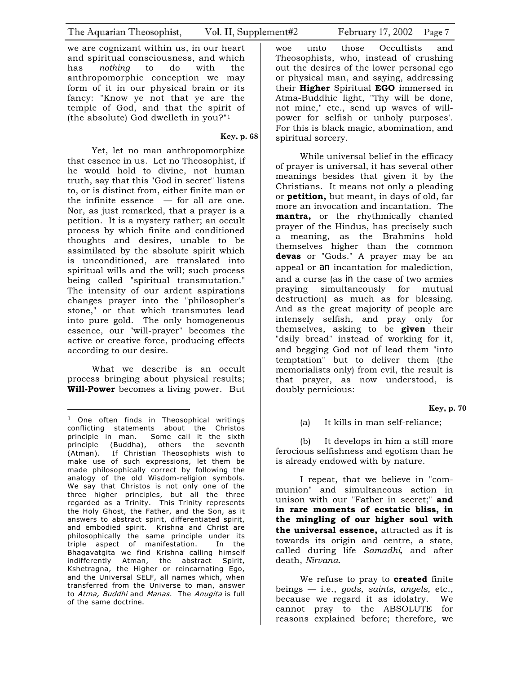we are cognizant within us, in our heart and spiritual consciousness, and which has *nothing* to do with the anthropomorphic conception we may form of it in our physical brain or its fancy: "Know ye not that ye are the temple of God, and that the spirit of (the absolute) God dwelleth in you?"1

 **Key, p. 68** 

Yet, let no man anthropomorphize that essence in us. Let no Theosophist, if he would hold to divine, not human truth, say that this "God in secret" listens to, or is distinct from, either finite man or the infinite essence  $-$  for all are one. Nor, as just remarked, that a prayer is a petition. It is a mystery rather; an occult process by which finite and conditioned thoughts and desires, unable to be assimilated by the absolute spirit which is unconditioned, are translated into spiritual wills and the will; such process being called "spiritual transmutation." The intensity of our ardent aspirations changes prayer into the "philosopher's stone," or that which transmutes lead into pure gold. The only homogeneous essence, our "will-prayer" becomes the active or creative force, producing effects according to our desire.

What we describe is an occult process bringing about physical results; **Will-Power** becomes a living power. But

woe unto those Occultists and Theosophists, who, instead of crushing out the desires of the lower personal ego or physical man, and saying, addressing their **Higher** Spiritual **EGO** immersed in Atma-Buddhic light, "Thy will be done, not mine," etc., send up waves of willpower for selfish or unholy purposes'. For this is black magic, abomination, and spiritual sorcery.

While universal belief in the efficacy of prayer is universal, it has several other meanings besides that given it by the Christians. It means not only a pleading or **petition,** but meant, in days of old, far more an invocation and incantation. The **mantra,** or the rhythmically chanted prayer of the Hindus, has precisely such a meaning, as the Brahmins hold themselves higher than the common **devas** or "Gods." A prayer may be an appeal or an incantation for malediction, and a curse (as in the case of two armies praying simultaneously for mutual destruction) as much as for blessing. And as the great majority of people are intensely selfish, and pray only for themselves, asking to be **given** their "daily bread" instead of working for it, and begging God not of lead them "into temptation" but to deliver them (the memorialists only) from evil, the result is that prayer, as now understood, is doubly pernicious:

 **Key, p. 70** 

(a) It kills in man self-reliance;

(b) It develops in him a still more ferocious selfishness and egotism than he is already endowed with by nature.

I repeat, that we believe in "communion" and simultaneous action in unison with our "Father in secret;" **and in rare moments of ecstatic bliss, in the mingling of our higher soul with the universal essence,** attracted as it is towards its origin and centre, a state, called during life *Samadhi,* and after death, *Nirvana.*

We refuse to pray to **created** finite beings — i.e., *gods, saints, angels,* etc., because we regard it as idolatry. We cannot pray to the ABSOLUTE for reasons explained before; therefore, we

 $1$  One often finds in Theosophical writings conflicting statements about the Christos principle in man. Some call it the sixth principle (Buddha), others the seventh (Atman). If Christian Theosophists wish to make use of such expressions, let them be made philosophically correct by following the analogy of the old Wisdom-religion symbols. We say that Christos is not only one of the three higher principles, but all the three regarded as a Trinity. This Trinity represents the Holy Ghost, the Father, and the Son, as it answers to abstract spirit, differentiated spirit, and embodied spirit. Krishna and Christ are philosophically the same principle under its triple aspect of manifestation. In the Bhagavatgita we find Krishna calling himself indifferently Atman, the abstract Spirit, Kshetragna, the Higher or reincarnating Ego, and the Universal SELF, all names which, when transferred from the Universe to man, answer to Atma, Buddhi and Manas. The Anugita is full of the same doctrine.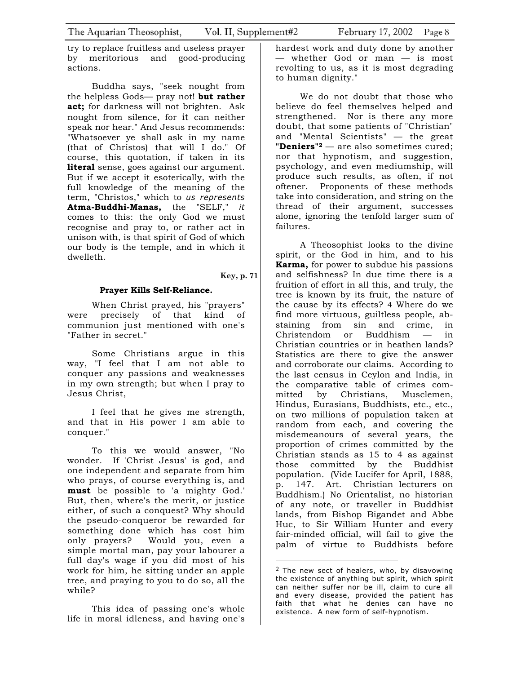try to replace fruitless and useless prayer by meritorious and good-producing actions.

Buddha says, "seek nought from the helpless Gods— pray not! **but rather act;** for darkness will not brighten. Ask nought from silence, for it can neither speak nor hear." And Jesus recommends: "Whatsoever ye shall ask in my name (that of Christos) that will I do." Of course, this quotation, if taken in its **literal** sense, goes against our argument. But if we accept it esoterically, with the full knowledge of the meaning of the term, "Christos," which to *us represents*  **Atma-Buddhi-Manas,** the "SELF," *it*  comes to this: the only God we must recognise and pray to, or rather act in unison with, is that spirit of God of which our body is the temple, and in which it dwelleth.

### **Key, p. 71**

# **Prayer Kills Self-Reliance.**

When Christ prayed, his "prayers" were precisely of that kind of communion just mentioned with one's "Father in secret."

Some Christians argue in this way, "I feel that I am not able to conquer any passions and weaknesses in my own strength; but when I pray to Jesus Christ,

I feel that he gives me strength, and that in His power I am able to conquer."

To this we would answer, "No wonder. If 'Christ Jesus' is god, and one independent and separate from him who prays, of course everything is, and **must** be possible to 'a mighty God.' But, then, where's the merit, or justice either, of such a conquest? Why should the pseudo-conqueror be rewarded for something done which has cost him only prayers? Would you, even a simple mortal man, pay your labourer a full day's wage if you did most of his work for him, he sitting under an apple tree, and praying to you to do so, all the while?

This idea of passing one's whole life in moral idleness, and having one's hardest work and duty done by another — whether God or man — is most revolting to us, as it is most degrading to human dignity."

We do not doubt that those who believe do feel themselves helped and strengthened. Nor is there any more doubt, that some patients of "Christian" and "Mental Scientists" — the great **"Deniers"2** — are also sometimes cured; nor that hypnotism, and suggestion, psychology, and even mediumship, will produce such results, as often, if not oftener. Proponents of these methods take into consideration, and string on the thread of their argument, successes alone, ignoring the tenfold larger sum of failures.

A Theosophist looks to the divine spirit, or the God in him, and to his **Karma,** for power to subdue his passions and selfishness? In due time there is a fruition of effort in all this, and truly, the tree is known by its fruit, the nature of the cause by its effects? 4 Where do we find more virtuous, guiltless people, abstaining from sin and crime, in Christendom or Buddhism — in Christian countries or in heathen lands? Statistics are there to give the answer and corroborate our claims. According to the last census in Ceylon and India, in the comparative table of crimes committed by Christians, Musclemen, Hindus, Eurasians, Buddhists, etc., etc., on two millions of population taken at random from each, and covering the misdemeanours of several years, the proportion of crimes committed by the Christian stands as 15 to 4 as against those committed by the Buddhist population. (Vide Lucifer for April, 1888, p. 147. Art. Christian lecturers on Buddhism.) No Orientalist, no historian of any note, or traveller in Buddhist lands, from Bishop Bigandet and Abbe Huc, to Sir William Hunter and every fair-minded official, will fail to give the palm of virtue to Buddhists before

 $2$  The new sect of healers, who, by disavowing the existence of anything but spirit, which spirit can neither suffer nor be ill, claim to cure all and every disease, provided the patient has faith that what he denies can have no existence. A new form of self-hypnotism.